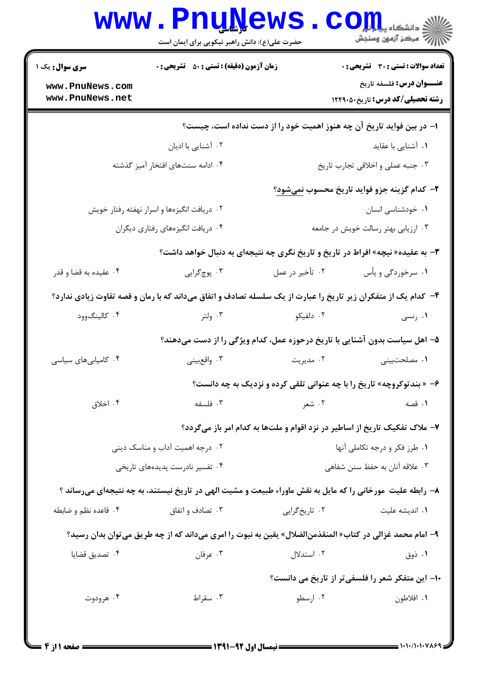|                                    | <b>www.PnuNews</b><br>حضرت علی(ع): دانش راهبر نیکویی برای ایمان است                                           |                                     | کے دانشکاہ پیا <mark>ہا ہو</mark><br>ان مرکز آزمون وسنجش                   |
|------------------------------------|---------------------------------------------------------------------------------------------------------------|-------------------------------------|----------------------------------------------------------------------------|
| <b>سری سوال :</b> یک ۱             | <b>زمان آزمون (دقیقه) : تستی : 50 ٪ تشریحی : 0</b>                                                            |                                     | <b>تعداد سوالات : تستی : 30 ٪ تشریحی : 0</b>                               |
| www.PnuNews.com<br>www.PnuNews.net |                                                                                                               |                                     | <b>عنـــوان درس:</b> فلسفه تاريخ<br>رشته تحصیلی/کد درس: تاریخ ۱۲۲۹۰۵۰      |
|                                    |                                                                                                               |                                     | ا– در بین فواید تاریخ آن چه هنوز اهمیت خود را از دست نداده است، چیست؟      |
|                                    | ۰۲ آشنایی با ادیان                                                                                            |                                     | ۰۱ آشنایی با عقاید                                                         |
|                                    | ۰۴ ادامه سنتهای افتخار آمیز گذشته                                                                             |                                     | ٠٣ جنبه عملي واخلاقي تجارب تاريخ                                           |
|                                    |                                                                                                               |                                     | ٢- كدام گزينه جزو فوايد تاريخ محسوب نميشود؟                                |
|                                    | ۰۲ دریافت انگیزهها و اسرار نهفته رفتار خویش                                                                   |                                     | ۰۱ خودشناسی انسان                                                          |
| ۰۴ دریافت انگیزههای رفتاری دیگران  |                                                                                                               | ۰۳ ارزیابی بهتر رسالت خویش در جامعه |                                                                            |
|                                    | ۳- به عقیده« نیچه» افراط در تاریخ و تاریخ نگری چه نتیجهای به دنبال خواهد داشت؟                                |                                     |                                                                            |
| ۰۴ عقیده به قضا و قدر              | ۰۳ پوچگرايي                                                                                                   | ۰۲ تأخیر در عمل                     | ۰۱ سرخوردگی و یأس                                                          |
|                                    | ۴- کدام یک از متفکران زیر تاریخ را عبارت از یک سلسله تصادف و اتفاق میداند که با رمان و قصه تفاوت زیادی ندارد؟ |                                     |                                                                            |
| ۰۴ کالینگوود                       | ۰۳ ولتر                                                                                                       | ۰۲ دلفیکو                           | ۰۱ رنسی                                                                    |
|                                    | ۵– اهل سیاست بدون آشنایی با تاریخ درحوزه عمل، کدام ویژگی را از دست میدهند؟                                    |                                     |                                                                            |
| ۰۴ کامیابیهای سیاسی                | ۰۳ واقعبيني                                                                                                   | ۰۲ مدیریت                           | ۰۱ مصلحتبینی                                                               |
|                                    |                                                                                                               |                                     | ۶- « بندتوکروچه» تاریخ را با چه عنوانی تلقی کرده و نزدیک به چه دانست؟      |
| ۰۴ اخلاق                           | ۰۳ فلسفه                                                                                                      | ۰۲ شعر                              | ۰۱ قصه                                                                     |
|                                    |                                                                                                               |                                     | ۷- ملاک تفکیک تاریخ از اساطیر در نزد اقوام و ملتها به کدام امر باز میگردد؟ |
|                                    | ۰۲ درجه اهمیت آداب و مناسک دینی                                                                               | ٠١ طرز فكر و درجه تكاملي آنها       |                                                                            |
|                                    | ۰۴ تفسیر نادرست پدیدههای تاریخی                                                                               | ۰۳ علاقه آنان به حفظ سنن شفاهی      |                                                                            |
|                                    | ۸– رابطه علیت مورخانی را که مایل به نقش ماوراء طبیعت و مشیت الهی در تاریخ نیستند، به چه نتیجهای میرساند ؟     |                                     |                                                                            |
| ۰۴ قاعده نظم و ضابطه               | ۰۳ تصادف و اتفاق                                                                                              | ۰۲ تاریخگرایی                       | ۰۱ اندیشه علیت                                                             |
|                                    | ۹– امام محمد غزالي در كتاب« المنقذمنالضلال» يقين به نبوت را امرى مىداند كه از چه طريق مىتوان بدان رسيد؟       |                                     |                                                                            |
| ۰۴ تصدیق قضایا                     | ۰۳ عرفان                                                                                                      | ۰۲ استدلال                          | ۰۱ ذوق                                                                     |
|                                    |                                                                                                               |                                     | ۱۰– این متفکر شعر را فلسفی تر از تاریخ می دانست؟                           |
| ۰۴ هرودوت                          | ۰۳ سقراط                                                                                                      | ۰۲ ارسطو                            | ۰۱ افلاطون                                                                 |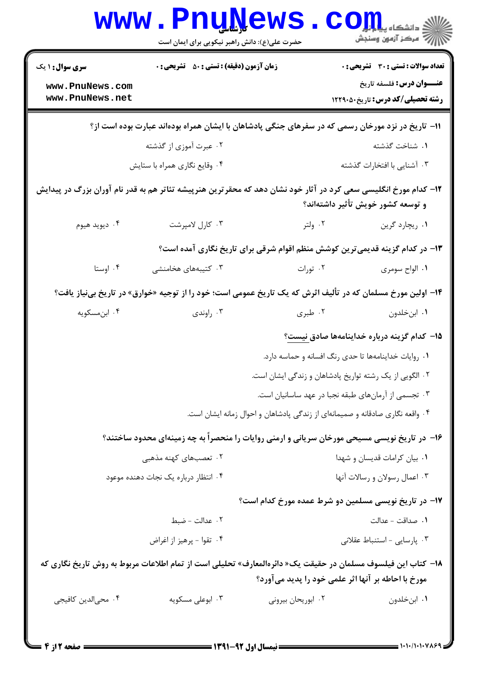| <b>زمان آزمون (دقیقه) : تستی : 50 ٪ تشریحی : 0</b>                                                                                                                 |                                                       | <b>تعداد سوالات : تستی : 30 ٪ تشریحی : 0</b>                                                                                                             |  |  |  |
|--------------------------------------------------------------------------------------------------------------------------------------------------------------------|-------------------------------------------------------|----------------------------------------------------------------------------------------------------------------------------------------------------------|--|--|--|
|                                                                                                                                                                    |                                                       | <b>عنـــوان درس:</b> فلسفه تاریخ<br><b>رشته تحصیلی/کد درس:</b> تاریخ5۰/1229                                                                              |  |  |  |
| 11- تاریخ در نزد مورخان رسمی که در سفرهای جنگی پادشاهان با ایشان همراه بودهاند عبارت بوده است از؟                                                                  |                                                       |                                                                                                                                                          |  |  |  |
| ۰۲ عبرت آموزی از گذشته                                                                                                                                             |                                                       | ٠١. شناخت گذشته                                                                                                                                          |  |  |  |
| ۰۴ وقایع نگاری همراه با ستایش                                                                                                                                      |                                                       | ۰۳ آشنایی با افتخارات گذشته                                                                                                                              |  |  |  |
| ۱۲– کدام مورخ انگلیسی سعی کرد در آثار خود نشان دهد که محقر ترین هنرپیشه تئاتر هم به قدر نام آوران بزرگ در پیدایش<br>و توسعه کشور خویش تأثیر داشتهاند؟              |                                                       |                                                                                                                                                          |  |  |  |
| ۰۳ کارل لامپرشت                                                                                                                                                    | ۰۲ ولتر                                               | ۰۱ ریچارد گرین                                                                                                                                           |  |  |  |
| ۱۳- در کدام گزینه قدیمی ترین کوشش منظم اقوام شرقی برای تاریخ نگاری آمده است؟                                                                                       |                                                       |                                                                                                                                                          |  |  |  |
| ۰۳ کتیبههای هخامنشی                                                                                                                                                | ۰۲ تورات                                              | ۰۱ الواح سومری                                                                                                                                           |  |  |  |
| ۱۴– اولین مورخ مسلمان که در تألیف اثرش که یک تاریخ عمومی است؛ خود را از توجیه «خوارق» در تاریخ بینیاز یافت؟                                                        |                                                       |                                                                                                                                                          |  |  |  |
| ۰۳ راوندی                                                                                                                                                          | ۰۲ طبری                                               | ۰۱ ابنخلدون                                                                                                                                              |  |  |  |
|                                                                                                                                                                    |                                                       | ۱۵– کدام گزینه درباره خداینامهها صادق <u>نیست</u> ؟                                                                                                      |  |  |  |
|                                                                                                                                                                    | ٠١. روايات خداينامهها تا حدى رنگ افسانه و حماسه دارد. |                                                                                                                                                          |  |  |  |
|                                                                                                                                                                    |                                                       |                                                                                                                                                          |  |  |  |
|                                                                                                                                                                    | ۰۳ تجسمی از آرمانهای طبقه نجبا در عهد ساسانیان است.   |                                                                                                                                                          |  |  |  |
| ۰۴ واقعه نگاری صادقانه و صمیمانهای از زندگی پادشاهان و احوال زمانه ایشان است.                                                                                      |                                                       |                                                                                                                                                          |  |  |  |
|                                                                                                                                                                    |                                                       |                                                                                                                                                          |  |  |  |
| ۰۲ تعصبهای کهنه مذهبی                                                                                                                                              |                                                       | ٠١ بيان كرامات قديسان و شهدا                                                                                                                             |  |  |  |
| ۰۴ انتظار درباره یک نجات دهنده موعود                                                                                                                               |                                                       | ۰۳ اعمال رسولان و رسالات آنها                                                                                                                            |  |  |  |
| ۱۷– در تاریخ نویسی مسلمین دو شرط عمده مورخ کدام است؟                                                                                                               |                                                       |                                                                                                                                                          |  |  |  |
| ٢. عدالت - ضبط                                                                                                                                                     |                                                       | 1. صداقت - عدالت                                                                                                                                         |  |  |  |
| ۰۴ تقوا - پرهيز از اغراض                                                                                                                                           |                                                       | ۰۳ پارسایی - استنباط عقلانی                                                                                                                              |  |  |  |
| ۱۸– کتاب این فیلسوف مسلمان در حقیقت یک« دائرەالمعارف» تحلیلی است از تمام اطلاعات مربوط به روش تاریخ نگاری که<br>مورخ با احاطه بر آنها اثر علمی خود را پدید میآورد؟ |                                                       |                                                                                                                                                          |  |  |  |
|                                                                                                                                                                    |                                                       |                                                                                                                                                          |  |  |  |
|                                                                                                                                                                    |                                                       | ۲ . الگویی از یک رشته تواریخ پادشاهان و زندگی ایشان است.<br>۱۶– در تاریخ نویسی مسیحی مورخان سریانی و ارمنی روایات را منحصراً به چه زمینهای محدود ساختند؟ |  |  |  |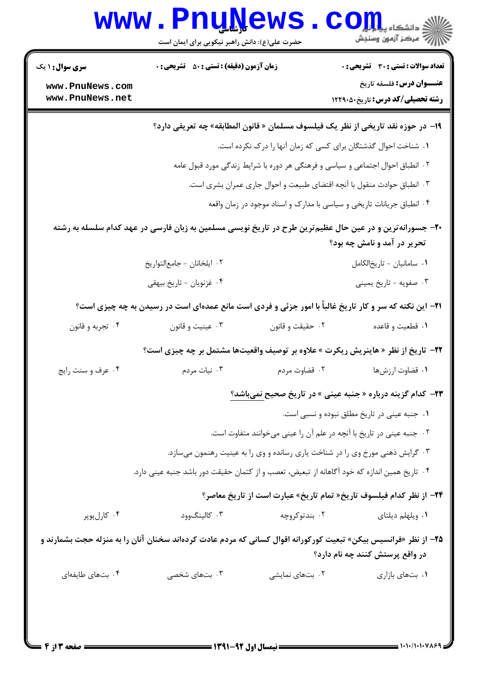|                                    | www.PnuNews<br>حضرت علی(ع): دانش راهبر نیکویی برای ایمان است                                                    |                                                                                | الاد دانشگاه پیابازا <mark>ر</mark><br>الا دانشگاه پیابازار                      |
|------------------------------------|-----------------------------------------------------------------------------------------------------------------|--------------------------------------------------------------------------------|----------------------------------------------------------------------------------|
| <b>سری سوال : ۱ یک</b>             | <b>زمان آزمون (دقیقه) : تستی : 50 ٪ تشریحی : 0</b>                                                              |                                                                                | <b>تعداد سوالات : تستی : 30 ٪ تشریحی : 0</b>                                     |
| www.PnuNews.com<br>www.PnuNews.net |                                                                                                                 |                                                                                | <b>عنـــوان درس:</b> فلسفه تاریخ<br><b>رشته تحصیلی/کد درس:</b> تاریخ40121        |
|                                    |                                                                                                                 |                                                                                | ۱۹− در حوزه نقد تاریخی از نظر یک فیلسوف مسلمان « قانون المطابقه» چه تعریفی دارد؟ |
|                                    |                                                                                                                 | ۰۱ شناخت احوال گذشتگان برای کسی که زمان آنها را درک نکرده است.                 |                                                                                  |
|                                    |                                                                                                                 | ۰۲ انطباق احوال اجتماعی و سیاسی و فرهنگی هر دوره با شرایط زندگی مورد قبول عامه |                                                                                  |
|                                    |                                                                                                                 | ۰۳ انطباق حوادث منقول با آنچه اقتضای طبیعت و احوال جاری عمران بشری است.        |                                                                                  |
|                                    |                                                                                                                 | ۰۴ انطباق جریانات تاریخی و سیاسی با مدارک و اسناد موجود در زمان واقعه          |                                                                                  |
|                                    | +۲- جسورانهترین و در عین حال عظیمترین طرح در تاریخ نویسی مسلمین به زبان فارسی در عهد کدام سلسله به رشته         |                                                                                | تحریر در آمد و نامش چه بود؟                                                      |
|                                    | ٠٢ ايلخانان - جامعالتواريخ                                                                                      |                                                                                | ٠١ سامانيان - تاريخالكامل                                                        |
|                                    | ۰۴ غزنویان - تاریخ بیهقی                                                                                        |                                                                                | ۰۳ صفویه - تاریخ یمینی                                                           |
|                                    | <b>۲۱</b> - این نکته که سر و کار تاریخ غالباً با امور جزئی و فردی است مانع عمدهای است در رسیدن به چه چیزی است؟  |                                                                                |                                                                                  |
| ۰۴ تجربه و قانون                   | ۰۳ عینیت و قانون                                                                                                | ۰۲ حقیقت و قانون                                                               | ۰۱ قطعیت و قاعده                                                                 |
|                                    | <b>۲۲</b> - تاریخ از نظر « هاینریش ریکرت » علاوه بر توصیف واقعیتها مشتمل بر چه چیزی است؟                        |                                                                                |                                                                                  |
| ۰۴ عرف و سنت رايج                  | ۰۳ نیات مردم                                                                                                    | ۰۲ قضاوت مردم                                                                  | ۰۱ قضاوت ارزشها                                                                  |
|                                    |                                                                                                                 |                                                                                | <b>۲۳</b> – کدام گزینه درباره «جنبه عینی » در تاریخ صحیح <u>نمیباشد؟</u>         |
|                                    |                                                                                                                 |                                                                                | ٠١ جنبه عيني در تاريخ مطلق نبوده و نسبي است.                                     |
|                                    |                                                                                                                 | ۰۲ جنبه عینی در تاریخ با آنچه در علم آن را عینی میخوانند متفاوت است.           |                                                                                  |
|                                    |                                                                                                                 | ۰۳ گرایش ذهنی مورخ وی را در شناخت یاری رسانده و وی را به عینیت رهنمون میسازد.  |                                                                                  |
|                                    | ۰۴ تاریخ همین اندازه که خود آگاهانه از تبعیض، تعصب و از کتمان حقیقت دور باشد جنبه عینی دارد.                    |                                                                                |                                                                                  |
|                                    |                                                                                                                 |                                                                                | <b>۲۴</b> - از نظر کدام فیلسوف تاریخ« تمام تاریخ» عبارت است از تاریخ معاصر؟      |
| ۰۴ کارلپوپر                        | ۰۳ کالینگوود                                                                                                    | ۰۲ بندتوکروچه                                                                  | ۰۱ ویلهلم دیلتای                                                                 |
|                                    | ۲۵– از نظر «فرانسیس بیکن» تبعیت کورکورانه اقوال کسانی که مردم عادت کردهاند سخنان آنان را به منزله حجت بشمارند و |                                                                                | در واقع پرستش کنند چه نام دارد؟                                                  |
| ۰۴ بتهای طایفهای                   | ۰۳ بتهای شخصی                                                                                                   | ۰۲ بتهای نمایشی                                                                | ۰۱ بتهای بازاری                                                                  |
|                                    |                                                                                                                 |                                                                                |                                                                                  |